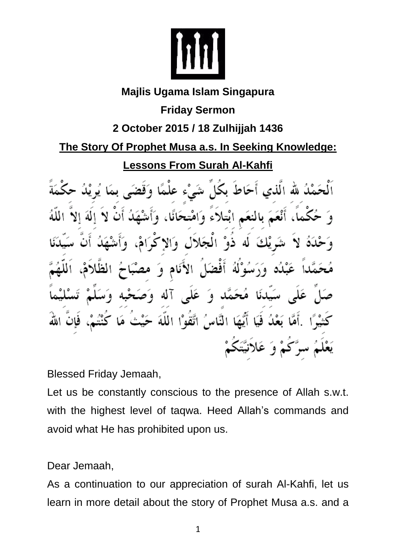

## **Majlis Ugama Islam Singapura**

**Friday Sermon**

## **2 October 2015 / 18 Zulhijjah 1436**

**The Story Of Prophet Musa a.s. In Seeking Knowledge:** 

**Lessons From Surah Al-Kahfi**

بكُلِّ شَيْء علْمًا لله الذي أحاط ابْتلاء وَاهْتحَانَا، ٦١ افض عَلى آله وَء  $\bullet$ أَيُّهَا النَّاسُ اتَّقَوْا اللَّهَ ه<br>وَ عَ

Blessed Friday Jemaah,

Let us be constantly conscious to the presence of Allah s.w.t. with the highest level of taqwa. Heed Allah's commands and avoid what He has prohibited upon us.

Dear Jemaah,

As a continuation to our appreciation of surah Al-Kahfi, let us learn in more detail about the story of Prophet Musa a.s. and a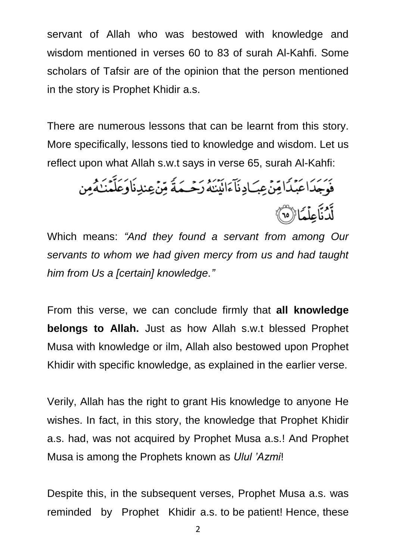servant of Allah who was bestowed with knowledge and wisdom mentioned in verses 60 to 83 of surah Al-Kahfi. Some scholars of Tafsir are of the opinion that the person mentioned in the story is Prophet Khidir a.s.

There are numerous lessons that can be learnt from this story. More specifically, lessons tied to knowledge and wisdom. Let us reflect upon what Allah s.w.t says in verse 65, surah Al-Kahfi:

يَرَ كَمَدًا عَبْدًا مِّنْ عِبَ ادِنَآءَانَيۡنَهُ رَحۡـهَةً مِّنۡ عِندِنَاوَعَلَّمۡنَـٰهُ مِن ند.<br>لَدُنَاعِلۡعَاۤا(ْ10)

Which means: *"And they found a servant from among Our servants to whom we had given mercy from us and had taught him from Us a [certain] knowledge."*

From this verse, we can conclude firmly that **all knowledge belongs to Allah.** Just as how Allah s.w.t blessed Prophet Musa with knowledge or ilm, Allah also bestowed upon Prophet Khidir with specific knowledge, as explained in the earlier verse.

Verily, Allah has the right to grant His knowledge to anyone He wishes. In fact, in this story, the knowledge that Prophet Khidir a.s. had, was not acquired by Prophet Musa a.s.! And Prophet Musa is among the Prophets known as *Ulul 'Azmi*!

Despite this, in the subsequent verses, Prophet Musa a.s. was reminded by Prophet Khidir a.s. to be patient! Hence, these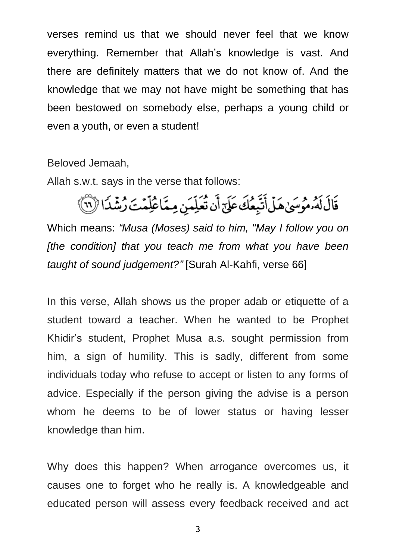verses remind us that we should never feel that we know everything. Remember that Allah's knowledge is vast. And there are definitely matters that we do not know of. And the knowledge that we may not have might be something that has been bestowed on somebody else, perhaps a young child or even a youth, or even a student!

Beloved Jemaah,

Allah s.w.t. says in the verse that follows:

قَالَ لَهُ مُوسَىٰ هَلْ أَتَّبِعُكَ عَلَىٰٓ أَن تُعَلِّمَن مِمَّاعُلِّمۡتَ رُشۡدَا (لَا ٱلْمَ

Which means: *"Musa (Moses) said to him, "May I follow you on [the condition] that you teach me from what you have been taught of sound judgement?"* [Surah Al-Kahfi, verse 66]

In this verse, Allah shows us the proper adab or etiquette of a student toward a teacher. When he wanted to be Prophet Khidir's student, Prophet Musa a.s. sought permission from him, a sign of humility. This is sadly, different from some individuals today who refuse to accept or listen to any forms of advice. Especially if the person giving the advise is a person whom he deems to be of lower status or having lesser knowledge than him.

Why does this happen? When arrogance overcomes us, it causes one to forget who he really is. A knowledgeable and educated person will assess every feedback received and act

3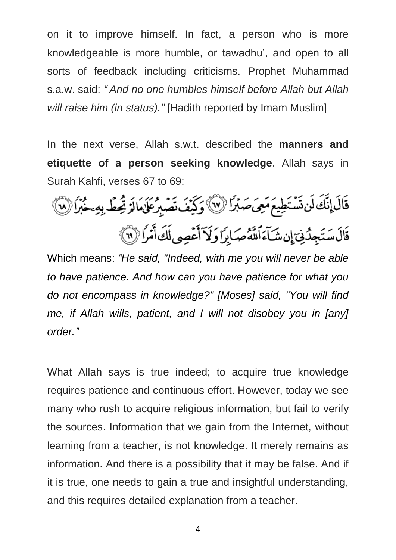on it to improve himself. In fact, a person who is more knowledgeable is more humble, or tawadhu', and open to all sorts of feedback including criticisms. Prophet Muhammad s.a.w. said: *" And no one humbles himself before Allah but Allah will raise him (in status)."* [Hadith reported by Imam Muslim]

In the next verse, Allah s.w.t. described the **manners and etiquette of a person seeking knowledge**. Allah says in Surah Kahfi, verses 67 to 69:

قَالَ إِنَّكَ لَن تَسْتَطِيعَ مَعِيَ صَبْرًا (لَا ) وَكَيْفَ تَصَبِرُ عَلَى مَالَةَ تُحِطّ بِهِ حَبْرًا (لَا ) قَالَ سَتَجِدُّنِيٓ إِن شَآءَٱللَّهُ صَبَابِرًا وَلَآ أَعۡصِي لَكَ أَمۡرَاۚ (لَآ ٱ

Which means: *"He said, "Indeed, with me you will never be able to have patience. And how can you have patience for what you do not encompass in knowledge?" [Moses] said, "You will find me, if Allah wills, patient, and I will not disobey you in [any] order."*

What Allah says is true indeed; to acquire true knowledge requires patience and continuous effort. However, today we see many who rush to acquire religious information, but fail to verify the sources. Information that we gain from the Internet, without learning from a teacher, is not knowledge. It merely remains as information. And there is a possibility that it may be false. And if it is true, one needs to gain a true and insightful understanding, and this requires detailed explanation from a teacher.